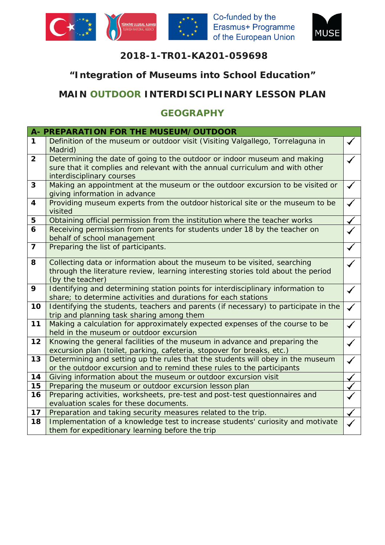





## **2018-1-TR01-KA201-059698**

## **"Integration of Museums into School Education"**

# **MAIN OUTDOOR INTERDISCIPLINARY LESSON PLAN**

### **GEOGRAPHY**

|                | A- PREPARATION FOR THE MUSEUM/OUTDOOR                                                                                                                                                 |   |
|----------------|---------------------------------------------------------------------------------------------------------------------------------------------------------------------------------------|---|
| 1              | Definition of the museum or outdoor visit (Visiting Valgallego, Torrelaguna in<br>Madrid)                                                                                             |   |
| $\overline{2}$ | Determining the date of going to the outdoor or indoor museum and making<br>sure that it complies and relevant with the annual curriculum and with other<br>interdisciplinary courses |   |
| 3              | Making an appointment at the museum or the outdoor excursion to be visited or<br>giving information in advance                                                                        |   |
| 4              | Providing museum experts from the outdoor historical site or the museum to be<br>visited                                                                                              |   |
| 5              | Obtaining official permission from the institution where the teacher works                                                                                                            |   |
| 6              | Receiving permission from parents for students under 18 by the teacher on<br>behalf of school management                                                                              |   |
| $\overline{7}$ | Preparing the list of participants.                                                                                                                                                   |   |
| 8              | Collecting data or information about the museum to be visited, searching<br>through the literature review, learning interesting stories told about the period<br>(by the teacher)     |   |
| 9              | Identifying and determining station points for interdisciplinary information to<br>share; to determine activities and durations for each stations                                     |   |
| 10             | Identifying the students, teachers and parents (if necessary) to participate in the<br>trip and planning task sharing among them                                                      | ✓ |
| 11             | Making a calculation for approximately expected expenses of the course to be<br>held in the museum or outdoor excursion                                                               |   |
| 12             | Knowing the general facilities of the museum in advance and preparing the<br>excursion plan (toilet, parking, cafeteria, stopover for breaks, etc.)                                   |   |
| 13             | Determining and setting up the rules that the students will obey in the museum<br>or the outdoor excursion and to remind these rules to the participants                              |   |
| 14             | Giving information about the museum or outdoor excursion visit                                                                                                                        |   |
| 15             | Preparing the museum or outdoor excursion lesson plan                                                                                                                                 |   |
| 16             | Preparing activities, worksheets, pre-test and post-test questionnaires and                                                                                                           |   |
|                | evaluation scales for these documents.                                                                                                                                                |   |
| 17             | Preparation and taking security measures related to the trip.                                                                                                                         |   |
| 18             | Implementation of a knowledge test to increase students' curiosity and motivate                                                                                                       |   |
|                | them for expeditionary learning before the trip                                                                                                                                       |   |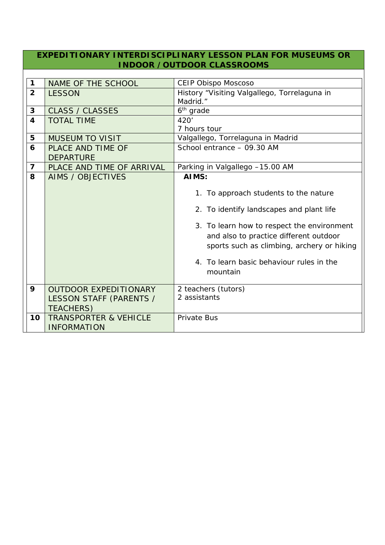#### **EXPEDITIONARY INTERDISCIPLINARY LESSON PLAN FOR MUSEUMS OR INDOOR /OUTDOOR CLASSROOMS**

| $\mathbf 1$             | NAME OF THE SCHOOL                                                          | <b>CEIP Obispo Moscoso</b>                                                                                                                                                                                                                                                      |
|-------------------------|-----------------------------------------------------------------------------|---------------------------------------------------------------------------------------------------------------------------------------------------------------------------------------------------------------------------------------------------------------------------------|
| $\overline{2}$          | <b>LESSON</b>                                                               | History "Visiting Valgallego, Torrelaguna in                                                                                                                                                                                                                                    |
|                         |                                                                             | Madrid."                                                                                                                                                                                                                                                                        |
| 3                       | <b>CLASS / CLASSES</b>                                                      | 6 <sup>th</sup> grade                                                                                                                                                                                                                                                           |
| $\overline{\mathbf{4}}$ | <b>TOTAL TIME</b>                                                           | 420'                                                                                                                                                                                                                                                                            |
|                         |                                                                             | 7 hours tour                                                                                                                                                                                                                                                                    |
| 5                       | <b>MUSEUM TO VISIT</b>                                                      | Valgallego, Torrelaguna in Madrid                                                                                                                                                                                                                                               |
| 6                       | <b>PLACE AND TIME OF</b>                                                    | School entrance - 09.30 AM                                                                                                                                                                                                                                                      |
|                         | <b>DEPARTURE</b>                                                            |                                                                                                                                                                                                                                                                                 |
| $\overline{7}$          | PLACE AND TIME OF ARRIVAL                                                   | Parking in Valgallego -15.00 AM                                                                                                                                                                                                                                                 |
| 8                       | AIMS / OBJECTIVES                                                           | AIMS:                                                                                                                                                                                                                                                                           |
|                         |                                                                             | 1. To approach students to the nature<br>2. To identify landscapes and plant life<br>3. To learn how to respect the environment<br>and also to practice different outdoor<br>sports such as climbing, archery or hiking<br>4. To learn basic behaviour rules in the<br>mountain |
| 9                       | <b>OUTDOOR EXPEDITIONARY</b><br>LESSON STAFF (PARENTS /<br><b>TEACHERS)</b> | 2 teachers (tutors)<br>2 assistants                                                                                                                                                                                                                                             |
| 10                      | <b>TRANSPORTER &amp; VEHICLE</b><br><b>INFORMATION</b>                      | <b>Private Bus</b>                                                                                                                                                                                                                                                              |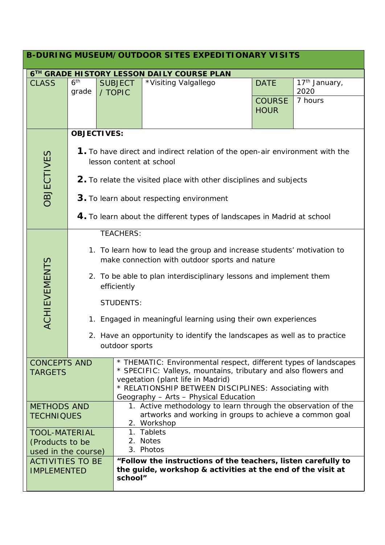| <b>B-DURING MUSEUM/OUTDOOR SITES EXPEDITIONARY VISITS</b>                        |                                                                                                                                                                                                                                                                                                              |                           |                                                                                                                                                                                                                                                                          |                                             |                                              |  |  |  |
|----------------------------------------------------------------------------------|--------------------------------------------------------------------------------------------------------------------------------------------------------------------------------------------------------------------------------------------------------------------------------------------------------------|---------------------------|--------------------------------------------------------------------------------------------------------------------------------------------------------------------------------------------------------------------------------------------------------------------------|---------------------------------------------|----------------------------------------------|--|--|--|
|                                                                                  |                                                                                                                                                                                                                                                                                                              |                           | 6 <sup>TH</sup> GRADE HISTORY LESSON DAILY COURSE PLAN                                                                                                                                                                                                                   |                                             |                                              |  |  |  |
| <b>CLASS</b>                                                                     | 6 <sup>th</sup><br>grade                                                                                                                                                                                                                                                                                     | <b>SUBJECT</b><br>/ TOPIC | *Visiting Valgallego                                                                                                                                                                                                                                                     | <b>DATE</b><br><b>COURSE</b><br><b>HOUR</b> | 17 <sup>th</sup> January,<br>2020<br>7 hours |  |  |  |
|                                                                                  |                                                                                                                                                                                                                                                                                                              | <b>OBJECTIVES:</b>        |                                                                                                                                                                                                                                                                          |                                             |                                              |  |  |  |
| <b>OBJECTIVES</b>                                                                | <b>1.</b> To have direct and indirect relation of the open-air environment with the<br>lesson content at school<br>2. To relate the visited place with other disciplines and subjects<br>3. To learn about respecting environment<br>4. To learn about the different types of landscapes in Madrid at school |                           |                                                                                                                                                                                                                                                                          |                                             |                                              |  |  |  |
|                                                                                  | <b>TEACHERS:</b>                                                                                                                                                                                                                                                                                             |                           |                                                                                                                                                                                                                                                                          |                                             |                                              |  |  |  |
| <b>ACHIEVEMENTS</b>                                                              | 1. To learn how to lead the group and increase students' motivation to<br>make connection with outdoor sports and nature<br>2. To be able to plan interdisciplinary lessons and implement them                                                                                                               |                           |                                                                                                                                                                                                                                                                          |                                             |                                              |  |  |  |
|                                                                                  | efficiently                                                                                                                                                                                                                                                                                                  |                           |                                                                                                                                                                                                                                                                          |                                             |                                              |  |  |  |
|                                                                                  | <b>STUDENTS:</b><br>1. Engaged in meaningful learning using their own experiences                                                                                                                                                                                                                            |                           |                                                                                                                                                                                                                                                                          |                                             |                                              |  |  |  |
|                                                                                  |                                                                                                                                                                                                                                                                                                              |                           |                                                                                                                                                                                                                                                                          |                                             |                                              |  |  |  |
|                                                                                  | 2. Have an opportunity to identify the landscapes as well as to practice<br>outdoor sports                                                                                                                                                                                                                   |                           |                                                                                                                                                                                                                                                                          |                                             |                                              |  |  |  |
| <b>CONCEPTS AND</b><br><b>TARGETS</b><br><b>METHODS AND</b><br><b>TECHNIQUES</b> |                                                                                                                                                                                                                                                                                                              |                           | * THEMATIC: Environmental respect, different types of landscapes<br>* SPECIFIC: Valleys, mountains, tributary and also flowers and<br>vegetation (plant life in Madrid)<br>* RELATIONSHIP BETWEEN DISCIPLINES: Associating with<br>Geography - Arts - Physical Education |                                             |                                              |  |  |  |
|                                                                                  |                                                                                                                                                                                                                                                                                                              |                           | 1. Active methodology to learn through the observation of the<br>artworks and working in groups to achieve a common goal<br>2. Workshop                                                                                                                                  |                                             |                                              |  |  |  |
| <b>TOOL-MATERIAL</b><br>(Products to be<br>used in the course)                   |                                                                                                                                                                                                                                                                                                              |                           | 1. Tablets<br>2. Notes<br>3. Photos                                                                                                                                                                                                                                      |                                             |                                              |  |  |  |
| <b>ACTIVITIES TO BE</b><br><b>IMPLEMENTED</b>                                    |                                                                                                                                                                                                                                                                                                              |                           | "Follow the instructions of the teachers, listen carefully to<br>the guide, workshop & activities at the end of the visit at<br>school"                                                                                                                                  |                                             |                                              |  |  |  |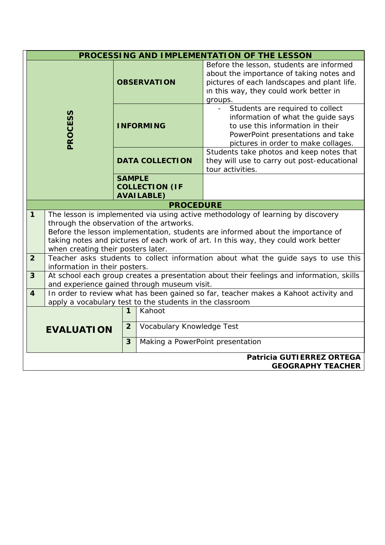|                                                       | PROCESSING AND IMPLEMENTATION OF THE LESSON                                                                                                                                                                                                                                                                                                |                    |                                            |                                                                                                                                                                                                  |  |
|-------------------------------------------------------|--------------------------------------------------------------------------------------------------------------------------------------------------------------------------------------------------------------------------------------------------------------------------------------------------------------------------------------------|--------------------|--------------------------------------------|--------------------------------------------------------------------------------------------------------------------------------------------------------------------------------------------------|--|
| PROCESS                                               |                                                                                                                                                                                                                                                                                                                                            | <b>OBSERVATION</b> |                                            | Before the lesson, students are informed<br>about the importance of taking notes and<br>pictures of each landscapes and plant life.<br>in this way, they could work better in<br>groups.         |  |
|                                                       |                                                                                                                                                                                                                                                                                                                                            | <b>INFORMING</b>   |                                            | Students are required to collect<br>$\sim$<br>information of what the guide says<br>to use this information in their<br>PowerPoint presentations and take<br>pictures in order to make collages. |  |
|                                                       |                                                                                                                                                                                                                                                                                                                                            |                    | <b>DATA COLLECTION</b>                     | Students take photos and keep notes that<br>they will use to carry out post-educational<br>tour activities.                                                                                      |  |
|                                                       |                                                                                                                                                                                                                                                                                                                                            | <b>SAMPLE</b>      | <b>COLLECTION (IF</b><br><b>AVAILABLE)</b> |                                                                                                                                                                                                  |  |
|                                                       |                                                                                                                                                                                                                                                                                                                                            |                    | <b>PROCEDURE</b>                           |                                                                                                                                                                                                  |  |
| $\mathbf{1}$                                          | The lesson is implemented via using active methodology of learning by discovery<br>through the observation of the artworks.<br>Before the lesson implementation, students are informed about the importance of<br>taking notes and pictures of each work of art. In this way, they could work better<br>when creating their posters later. |                    |                                            |                                                                                                                                                                                                  |  |
| $\overline{2}$                                        | Teacher asks students to collect information about what the guide says to use this<br>information in their posters.                                                                                                                                                                                                                        |                    |                                            |                                                                                                                                                                                                  |  |
| $\overline{3}$                                        | At school each group creates a presentation about their feelings and information, skills<br>and experience gained through museum visit.                                                                                                                                                                                                    |                    |                                            |                                                                                                                                                                                                  |  |
| $\overline{\mathbf{4}}$                               | In order to review what has been gained so far, teacher makes a Kahoot activity and<br>apply a vocabulary test to the students in the classroom                                                                                                                                                                                            |                    |                                            |                                                                                                                                                                                                  |  |
|                                                       |                                                                                                                                                                                                                                                                                                                                            | 1                  | Kahoot                                     |                                                                                                                                                                                                  |  |
| <b>EVALUATION</b>                                     |                                                                                                                                                                                                                                                                                                                                            | $\overline{2}$     | Vocabulary Knowledge Test                  |                                                                                                                                                                                                  |  |
|                                                       |                                                                                                                                                                                                                                                                                                                                            |                    | Making a PowerPoint presentation           |                                                                                                                                                                                                  |  |
| Patricia GUTIERREZ ORTEGA<br><b>GEOGRAPHY TEACHER</b> |                                                                                                                                                                                                                                                                                                                                            |                    |                                            |                                                                                                                                                                                                  |  |